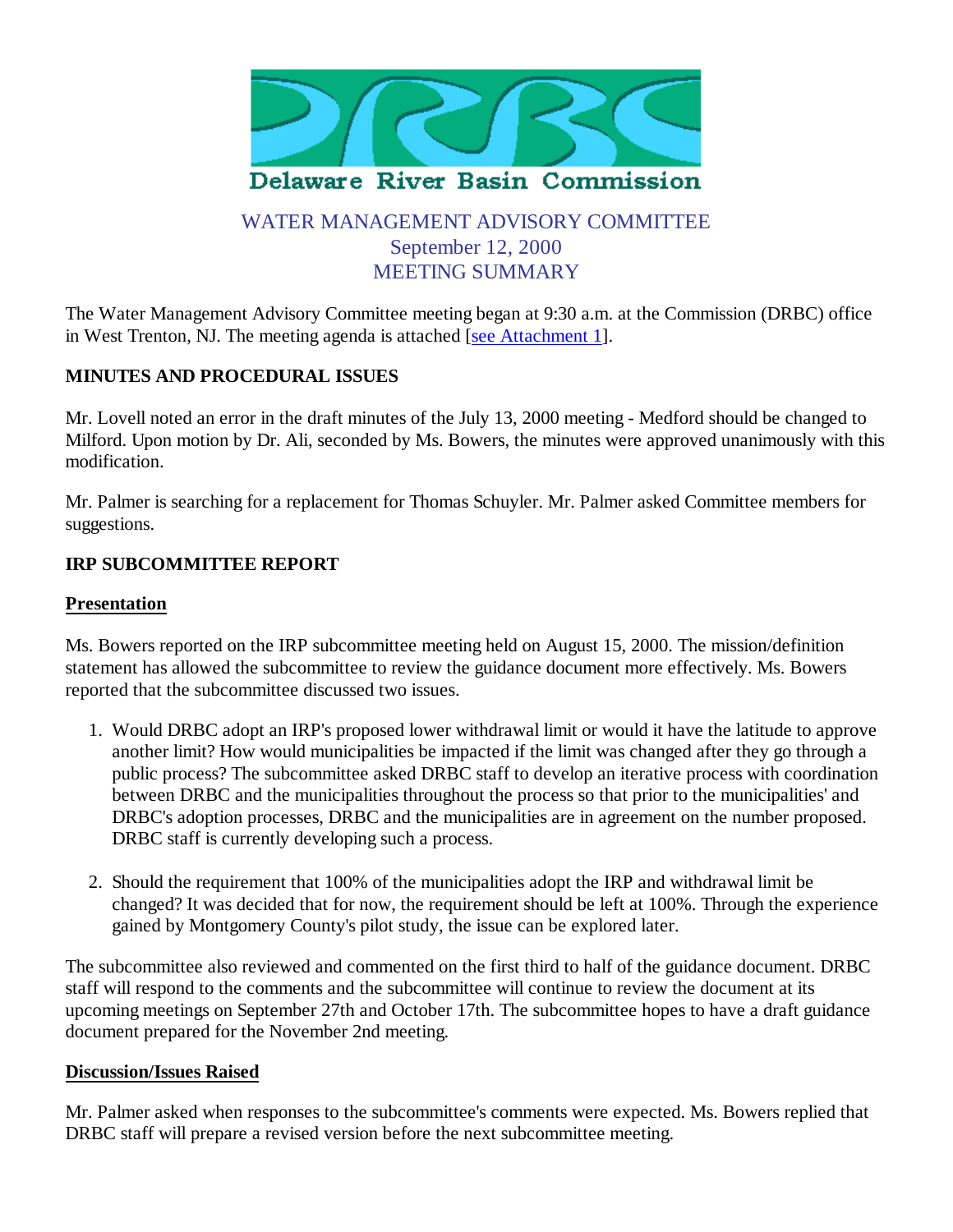

# WATER MANAGEMENT ADVISORY COMMITTEE September 12, 2000 MEETING SUMMARY

The Water Management Advisory Committee meeting began at 9:30 a.m. at the Commission (DRBC) office in West Trenton, NJ. The meeting agenda is attached [see Attachment 1].

### **MINUTES AND PROCEDURAL ISSUES**

Mr. Lovell noted an error in the draft minutes of the July 13, 2000 meeting - Medford should be changed to Milford. Upon motion by Dr. Ali, seconded by Ms. Bowers, the minutes were approved unanimously with this modification.

Mr. Palmer is searching for a replacement for Thomas Schuyler. Mr. Palmer asked Committee members for suggestions.

### **IRP SUBCOMMITTEE REPORT**

#### **Presentation**

Ms. Bowers reported on the IRP subcommittee meeting held on August 15, 2000. The mission/definition statement has allowed the subcommittee to review the guidance document more effectively. Ms. Bowers reported that the subcommittee discussed two issues.

- Would DRBC adopt an IRP's proposed lower withdrawal limit or would it have the latitude to approve 1. another limit? How would municipalities be impacted if the limit was changed after they go through a public process? The subcommittee asked DRBC staff to develop an iterative process with coordination between DRBC and the municipalities throughout the process so that prior to the municipalities' and DRBC's adoption processes, DRBC and the municipalities are in agreement on the number proposed. DRBC staff is currently developing such a process.
- 2. Should the requirement that 100% of the municipalities adopt the IRP and withdrawal limit be changed? It was decided that for now, the requirement should be left at 100%. Through the experience gained by Montgomery County's pilot study, the issue can be explored later.

The subcommittee also reviewed and commented on the first third to half of the guidance document. DRBC staff will respond to the comments and the subcommittee will continue to review the document at its upcoming meetings on September 27th and October 17th. The subcommittee hopes to have a draft guidance document prepared for the November 2nd meeting.

#### **Discussion/Issues Raised**

Mr. Palmer asked when responses to the subcommittee's comments were expected. Ms. Bowers replied that DRBC staff will prepare a revised version before the next subcommittee meeting.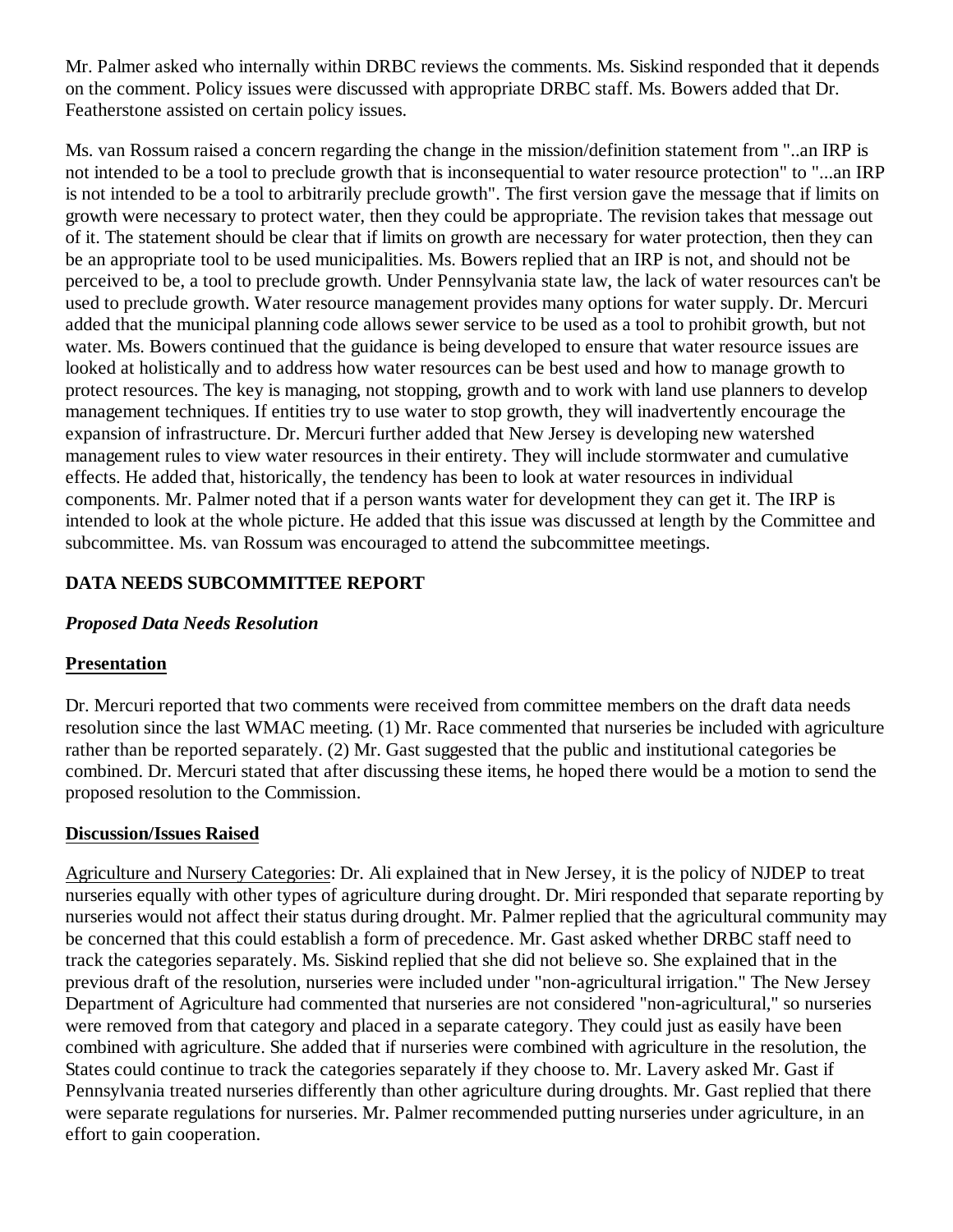Mr. Palmer asked who internally within DRBC reviews the comments. Ms. Siskind responded that it depends on the comment. Policy issues were discussed with appropriate DRBC staff. Ms. Bowers added that Dr. Featherstone assisted on certain policy issues.

Ms. van Rossum raised a concern regarding the change in the mission/definition statement from "..an IRP is not intended to be a tool to preclude growth that is inconsequential to water resource protection" to "...an IRP is not intended to be a tool to arbitrarily preclude growth". The first version gave the message that if limits on growth were necessary to protect water, then they could be appropriate. The revision takes that message out of it. The statement should be clear that if limits on growth are necessary for water protection, then they can be an appropriate tool to be used municipalities. Ms. Bowers replied that an IRP is not, and should not be perceived to be, a tool to preclude growth. Under Pennsylvania state law, the lack of water resources can't be used to preclude growth. Water resource management provides many options for water supply. Dr. Mercuri added that the municipal planning code allows sewer service to be used as a tool to prohibit growth, but not water. Ms. Bowers continued that the guidance is being developed to ensure that water resource issues are looked at holistically and to address how water resources can be best used and how to manage growth to protect resources. The key is managing, not stopping, growth and to work with land use planners to develop management techniques. If entities try to use water to stop growth, they will inadvertently encourage the expansion of infrastructure. Dr. Mercuri further added that New Jersey is developing new watershed management rules to view water resources in their entirety. They will include stormwater and cumulative effects. He added that, historically, the tendency has been to look at water resources in individual components. Mr. Palmer noted that if a person wants water for development they can get it. The IRP is intended to look at the whole picture. He added that this issue was discussed at length by the Committee and subcommittee. Ms. van Rossum was encouraged to attend the subcommittee meetings.

## **DATA NEEDS SUBCOMMITTEE REPORT**

### *Proposed Data Needs Resolution*

## **Presentation**

Dr. Mercuri reported that two comments were received from committee members on the draft data needs resolution since the last WMAC meeting. (1) Mr. Race commented that nurseries be included with agriculture rather than be reported separately. (2) Mr. Gast suggested that the public and institutional categories be combined. Dr. Mercuri stated that after discussing these items, he hoped there would be a motion to send the proposed resolution to the Commission.

## **Discussion/Issues Raised**

Agriculture and Nursery Categories: Dr. Ali explained that in New Jersey, it is the policy of NJDEP to treat nurseries equally with other types of agriculture during drought. Dr. Miri responded that separate reporting by nurseries would not affect their status during drought. Mr. Palmer replied that the agricultural community may be concerned that this could establish a form of precedence. Mr. Gast asked whether DRBC staff need to track the categories separately. Ms. Siskind replied that she did not believe so. She explained that in the previous draft of the resolution, nurseries were included under "non-agricultural irrigation." The New Jersey Department of Agriculture had commented that nurseries are not considered "non-agricultural," so nurseries were removed from that category and placed in a separate category. They could just as easily have been combined with agriculture. She added that if nurseries were combined with agriculture in the resolution, the States could continue to track the categories separately if they choose to. Mr. Lavery asked Mr. Gast if Pennsylvania treated nurseries differently than other agriculture during droughts. Mr. Gast replied that there were separate regulations for nurseries. Mr. Palmer recommended putting nurseries under agriculture, in an effort to gain cooperation.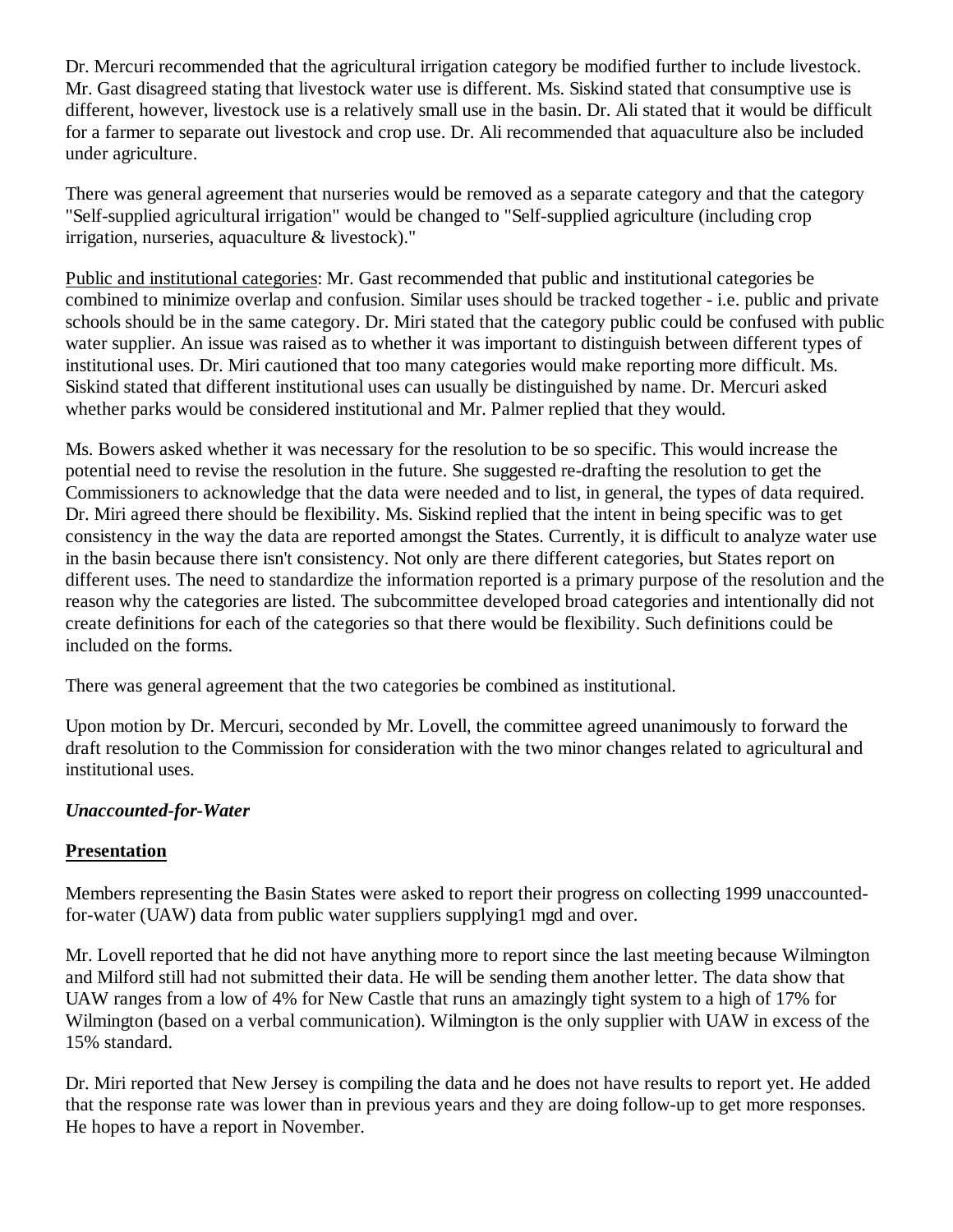Dr. Mercuri recommended that the agricultural irrigation category be modified further to include livestock. Mr. Gast disagreed stating that livestock water use is different. Ms. Siskind stated that consumptive use is different, however, livestock use is a relatively small use in the basin. Dr. Ali stated that it would be difficult for a farmer to separate out livestock and crop use. Dr. Ali recommended that aquaculture also be included under agriculture.

There was general agreement that nurseries would be removed as a separate category and that the category "Self-supplied agricultural irrigation" would be changed to "Self-supplied agriculture (including crop irrigation, nurseries, aquaculture & livestock)."

Public and institutional categories: Mr. Gast recommended that public and institutional categories be combined to minimize overlap and confusion. Similar uses should be tracked together - i.e. public and private schools should be in the same category. Dr. Miri stated that the category public could be confused with public water supplier. An issue was raised as to whether it was important to distinguish between different types of institutional uses. Dr. Miri cautioned that too many categories would make reporting more difficult. Ms. Siskind stated that different institutional uses can usually be distinguished by name. Dr. Mercuri asked whether parks would be considered institutional and Mr. Palmer replied that they would.

Ms. Bowers asked whether it was necessary for the resolution to be so specific. This would increase the potential need to revise the resolution in the future. She suggested re-drafting the resolution to get the Commissioners to acknowledge that the data were needed and to list, in general, the types of data required. Dr. Miri agreed there should be flexibility. Ms. Siskind replied that the intent in being specific was to get consistency in the way the data are reported amongst the States. Currently, it is difficult to analyze water use in the basin because there isn't consistency. Not only are there different categories, but States report on different uses. The need to standardize the information reported is a primary purpose of the resolution and the reason why the categories are listed. The subcommittee developed broad categories and intentionally did not create definitions for each of the categories so that there would be flexibility. Such definitions could be included on the forms.

There was general agreement that the two categories be combined as institutional.

Upon motion by Dr. Mercuri, seconded by Mr. Lovell, the committee agreed unanimously to forward the draft resolution to the Commission for consideration with the two minor changes related to agricultural and institutional uses.

## *Unaccounted-for-Water*

## **Presentation**

Members representing the Basin States were asked to report their progress on collecting 1999 unaccountedfor-water (UAW) data from public water suppliers supplying1 mgd and over.

Mr. Lovell reported that he did not have anything more to report since the last meeting because Wilmington and Milford still had not submitted their data. He will be sending them another letter. The data show that UAW ranges from a low of 4% for New Castle that runs an amazingly tight system to a high of 17% for Wilmington (based on a verbal communication). Wilmington is the only supplier with UAW in excess of the 15% standard.

Dr. Miri reported that New Jersey is compiling the data and he does not have results to report yet. He added that the response rate was lower than in previous years and they are doing follow-up to get more responses. He hopes to have a report in November.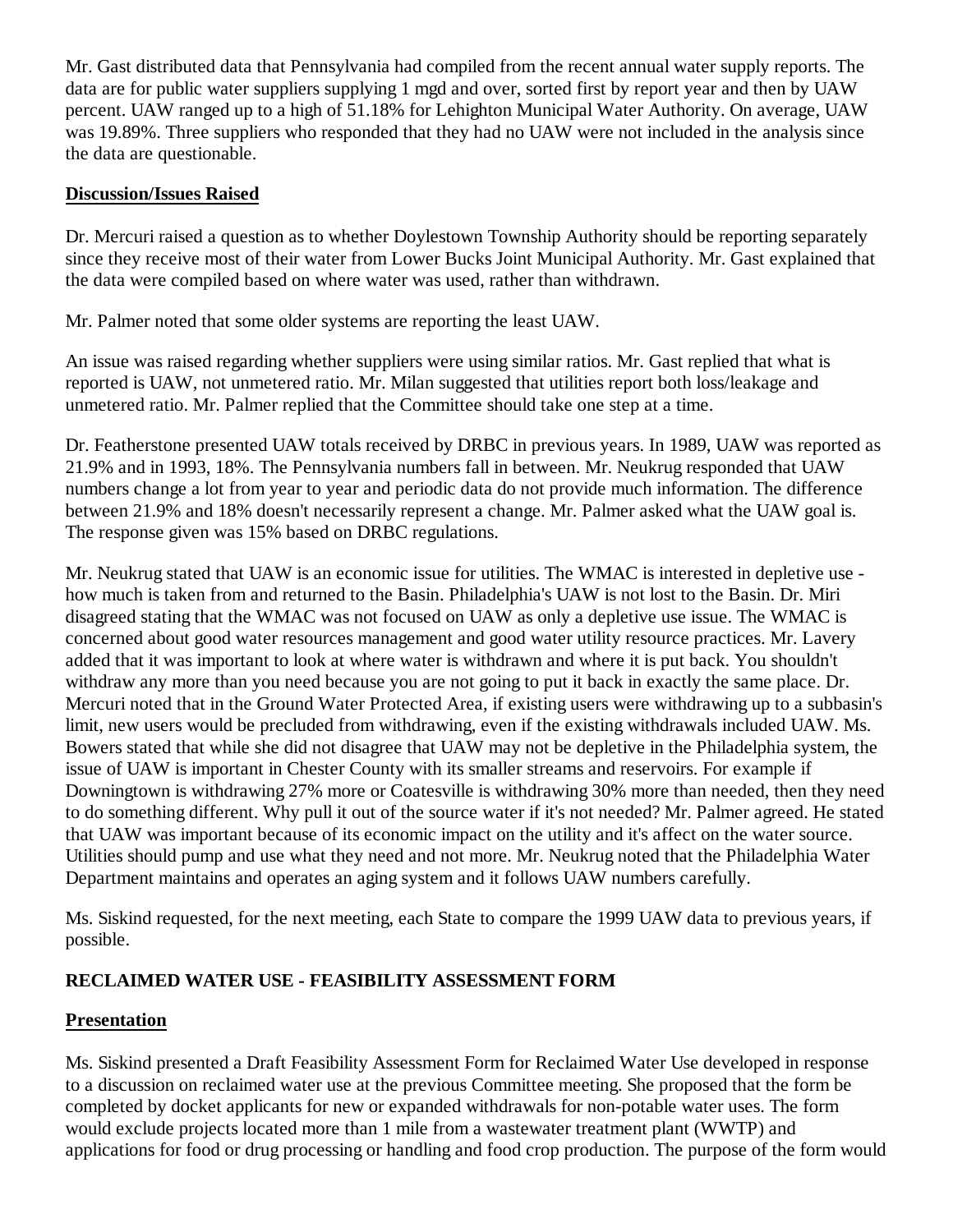Mr. Gast distributed data that Pennsylvania had compiled from the recent annual water supply reports. The data are for public water suppliers supplying 1 mgd and over, sorted first by report year and then by UAW percent. UAW ranged up to a high of 51.18% for Lehighton Municipal Water Authority. On average, UAW was 19.89%. Three suppliers who responded that they had no UAW were not included in the analysis since the data are questionable.

### **Discussion/Issues Raised**

Dr. Mercuri raised a question as to whether Doylestown Township Authority should be reporting separately since they receive most of their water from Lower Bucks Joint Municipal Authority. Mr. Gast explained that the data were compiled based on where water was used, rather than withdrawn.

Mr. Palmer noted that some older systems are reporting the least UAW.

An issue was raised regarding whether suppliers were using similar ratios. Mr. Gast replied that what is reported is UAW, not unmetered ratio. Mr. Milan suggested that utilities report both loss/leakage and unmetered ratio. Mr. Palmer replied that the Committee should take one step at a time.

Dr. Featherstone presented UAW totals received by DRBC in previous years. In 1989, UAW was reported as 21.9% and in 1993, 18%. The Pennsylvania numbers fall in between. Mr. Neukrug responded that UAW numbers change a lot from year to year and periodic data do not provide much information. The difference between 21.9% and 18% doesn't necessarily represent a change. Mr. Palmer asked what the UAW goal is. The response given was 15% based on DRBC regulations.

Mr. Neukrug stated that UAW is an economic issue for utilities. The WMAC is interested in depletive use how much is taken from and returned to the Basin. Philadelphia's UAW is not lost to the Basin. Dr. Miri disagreed stating that the WMAC was not focused on UAW as only a depletive use issue. The WMAC is concerned about good water resources management and good water utility resource practices. Mr. Lavery added that it was important to look at where water is withdrawn and where it is put back. You shouldn't withdraw any more than you need because you are not going to put it back in exactly the same place. Dr. Mercuri noted that in the Ground Water Protected Area, if existing users were withdrawing up to a subbasin's limit, new users would be precluded from withdrawing, even if the existing withdrawals included UAW. Ms. Bowers stated that while she did not disagree that UAW may not be depletive in the Philadelphia system, the issue of UAW is important in Chester County with its smaller streams and reservoirs. For example if Downingtown is withdrawing 27% more or Coatesville is withdrawing 30% more than needed, then they need to do something different. Why pull it out of the source water if it's not needed? Mr. Palmer agreed. He stated that UAW was important because of its economic impact on the utility and it's affect on the water source. Utilities should pump and use what they need and not more. Mr. Neukrug noted that the Philadelphia Water Department maintains and operates an aging system and it follows UAW numbers carefully.

Ms. Siskind requested, for the next meeting, each State to compare the 1999 UAW data to previous years, if possible.

### **RECLAIMED WATER USE - FEASIBILITY ASSESSMENT FORM**

### **Presentation**

Ms. Siskind presented a Draft Feasibility Assessment Form for Reclaimed Water Use developed in response to a discussion on reclaimed water use at the previous Committee meeting. She proposed that the form be completed by docket applicants for new or expanded withdrawals for non-potable water uses. The form would exclude projects located more than 1 mile from a wastewater treatment plant (WWTP) and applications for food or drug processing or handling and food crop production. The purpose of the form would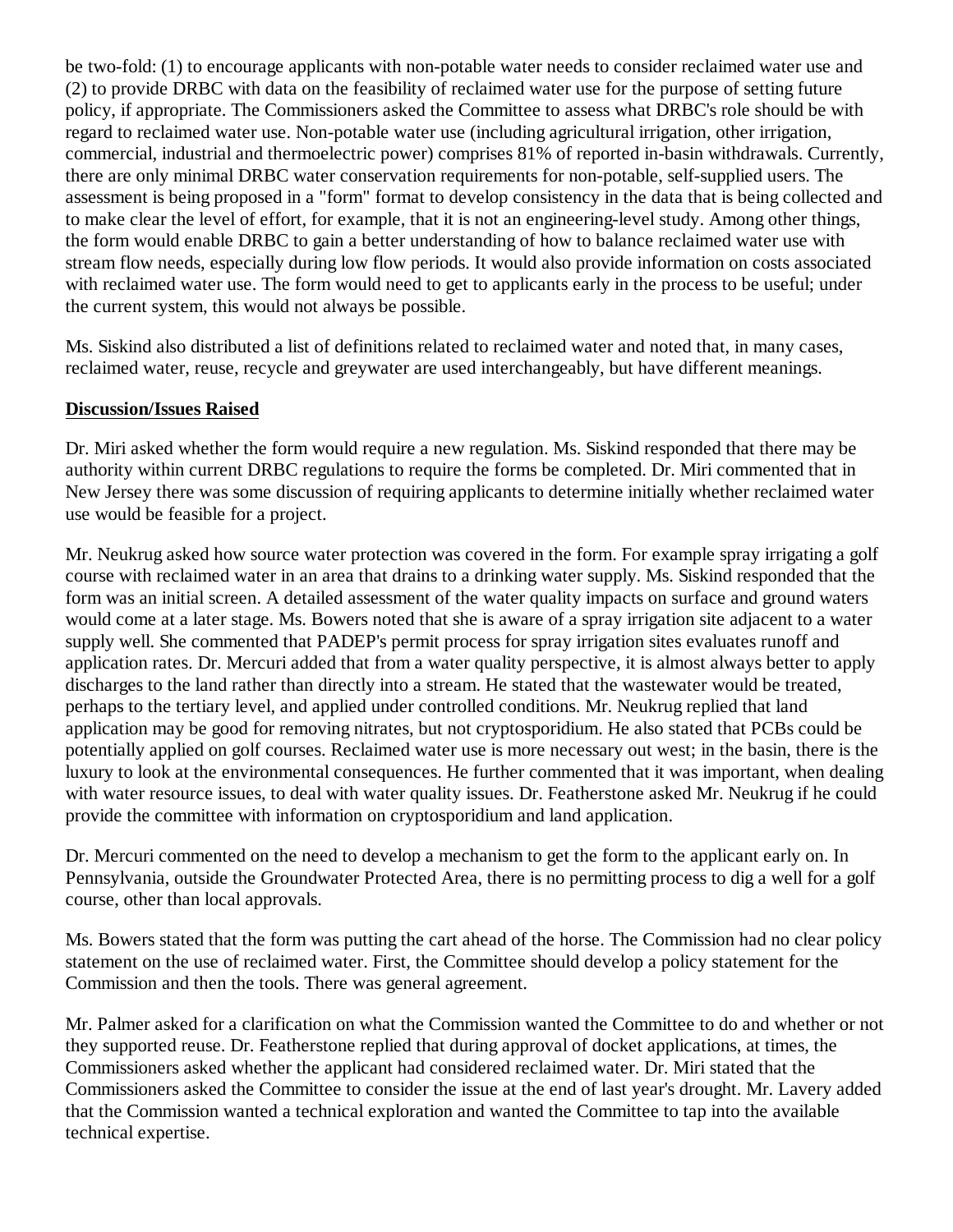be two-fold: (1) to encourage applicants with non-potable water needs to consider reclaimed water use and (2) to provide DRBC with data on the feasibility of reclaimed water use for the purpose of setting future policy, if appropriate. The Commissioners asked the Committee to assess what DRBC's role should be with regard to reclaimed water use. Non-potable water use (including agricultural irrigation, other irrigation, commercial, industrial and thermoelectric power) comprises 81% of reported in-basin withdrawals. Currently, there are only minimal DRBC water conservation requirements for non-potable, self-supplied users. The assessment is being proposed in a "form" format to develop consistency in the data that is being collected and to make clear the level of effort, for example, that it is not an engineering-level study. Among other things, the form would enable DRBC to gain a better understanding of how to balance reclaimed water use with stream flow needs, especially during low flow periods. It would also provide information on costs associated with reclaimed water use. The form would need to get to applicants early in the process to be useful; under the current system, this would not always be possible.

Ms. Siskind also distributed a list of definitions related to reclaimed water and noted that, in many cases, reclaimed water, reuse, recycle and greywater are used interchangeably, but have different meanings.

### **Discussion/Issues Raised**

Dr. Miri asked whether the form would require a new regulation. Ms. Siskind responded that there may be authority within current DRBC regulations to require the forms be completed. Dr. Miri commented that in New Jersey there was some discussion of requiring applicants to determine initially whether reclaimed water use would be feasible for a project.

Mr. Neukrug asked how source water protection was covered in the form. For example spray irrigating a golf course with reclaimed water in an area that drains to a drinking water supply. Ms. Siskind responded that the form was an initial screen. A detailed assessment of the water quality impacts on surface and ground waters would come at a later stage. Ms. Bowers noted that she is aware of a spray irrigation site adjacent to a water supply well. She commented that PADEP's permit process for spray irrigation sites evaluates runoff and application rates. Dr. Mercuri added that from a water quality perspective, it is almost always better to apply discharges to the land rather than directly into a stream. He stated that the wastewater would be treated, perhaps to the tertiary level, and applied under controlled conditions. Mr. Neukrug replied that land application may be good for removing nitrates, but not cryptosporidium. He also stated that PCBs could be potentially applied on golf courses. Reclaimed water use is more necessary out west; in the basin, there is the luxury to look at the environmental consequences. He further commented that it was important, when dealing with water resource issues, to deal with water quality issues. Dr. Featherstone asked Mr. Neukrug if he could provide the committee with information on cryptosporidium and land application.

Dr. Mercuri commented on the need to develop a mechanism to get the form to the applicant early on. In Pennsylvania, outside the Groundwater Protected Area, there is no permitting process to dig a well for a golf course, other than local approvals.

Ms. Bowers stated that the form was putting the cart ahead of the horse. The Commission had no clear policy statement on the use of reclaimed water. First, the Committee should develop a policy statement for the Commission and then the tools. There was general agreement.

Mr. Palmer asked for a clarification on what the Commission wanted the Committee to do and whether or not they supported reuse. Dr. Featherstone replied that during approval of docket applications, at times, the Commissioners asked whether the applicant had considered reclaimed water. Dr. Miri stated that the Commissioners asked the Committee to consider the issue at the end of last year's drought. Mr. Lavery added that the Commission wanted a technical exploration and wanted the Committee to tap into the available technical expertise.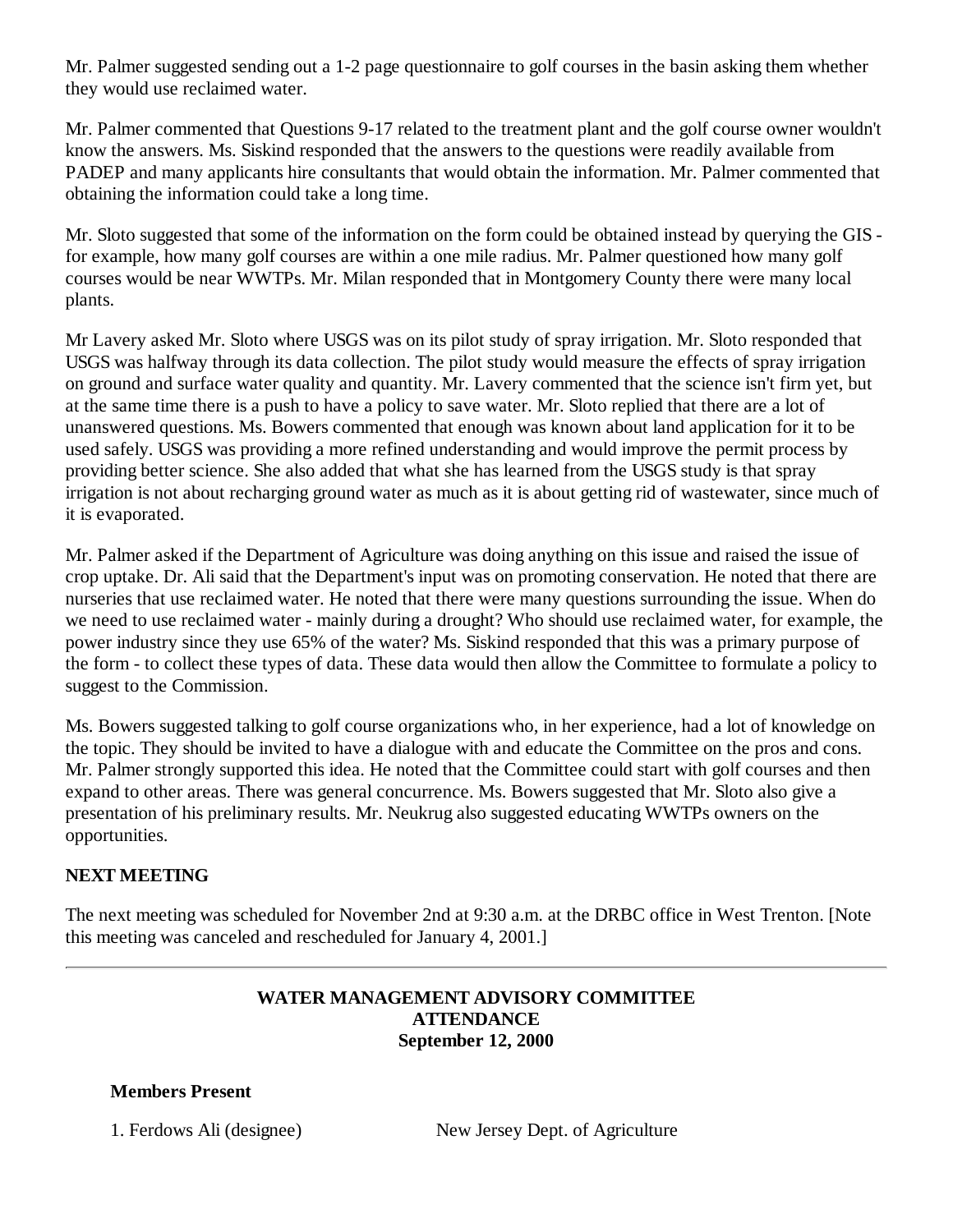Mr. Palmer suggested sending out a 1-2 page questionnaire to golf courses in the basin asking them whether they would use reclaimed water.

Mr. Palmer commented that Questions 9-17 related to the treatment plant and the golf course owner wouldn't know the answers. Ms. Siskind responded that the answers to the questions were readily available from PADEP and many applicants hire consultants that would obtain the information. Mr. Palmer commented that obtaining the information could take a long time.

Mr. Sloto suggested that some of the information on the form could be obtained instead by querying the GIS for example, how many golf courses are within a one mile radius. Mr. Palmer questioned how many golf courses would be near WWTPs. Mr. Milan responded that in Montgomery County there were many local plants.

Mr Lavery asked Mr. Sloto where USGS was on its pilot study of spray irrigation. Mr. Sloto responded that USGS was halfway through its data collection. The pilot study would measure the effects of spray irrigation on ground and surface water quality and quantity. Mr. Lavery commented that the science isn't firm yet, but at the same time there is a push to have a policy to save water. Mr. Sloto replied that there are a lot of unanswered questions. Ms. Bowers commented that enough was known about land application for it to be used safely. USGS was providing a more refined understanding and would improve the permit process by providing better science. She also added that what she has learned from the USGS study is that spray irrigation is not about recharging ground water as much as it is about getting rid of wastewater, since much of it is evaporated.

Mr. Palmer asked if the Department of Agriculture was doing anything on this issue and raised the issue of crop uptake. Dr. Ali said that the Department's input was on promoting conservation. He noted that there are nurseries that use reclaimed water. He noted that there were many questions surrounding the issue. When do we need to use reclaimed water - mainly during a drought? Who should use reclaimed water, for example, the power industry since they use 65% of the water? Ms. Siskind responded that this was a primary purpose of the form - to collect these types of data. These data would then allow the Committee to formulate a policy to suggest to the Commission.

Ms. Bowers suggested talking to golf course organizations who, in her experience, had a lot of knowledge on the topic. They should be invited to have a dialogue with and educate the Committee on the pros and cons. Mr. Palmer strongly supported this idea. He noted that the Committee could start with golf courses and then expand to other areas. There was general concurrence. Ms. Bowers suggested that Mr. Sloto also give a presentation of his preliminary results. Mr. Neukrug also suggested educating WWTPs owners on the opportunities.

## **NEXT MEETING**

The next meeting was scheduled for November 2nd at 9:30 a.m. at the DRBC office in West Trenton. [Note this meeting was canceled and rescheduled for January 4, 2001.]

### **WATER MANAGEMENT ADVISORY COMMITTEE ATTENDANCE September 12, 2000**

**Members Present**

1. Ferdows Ali (designee) New Jersey Dept. of Agriculture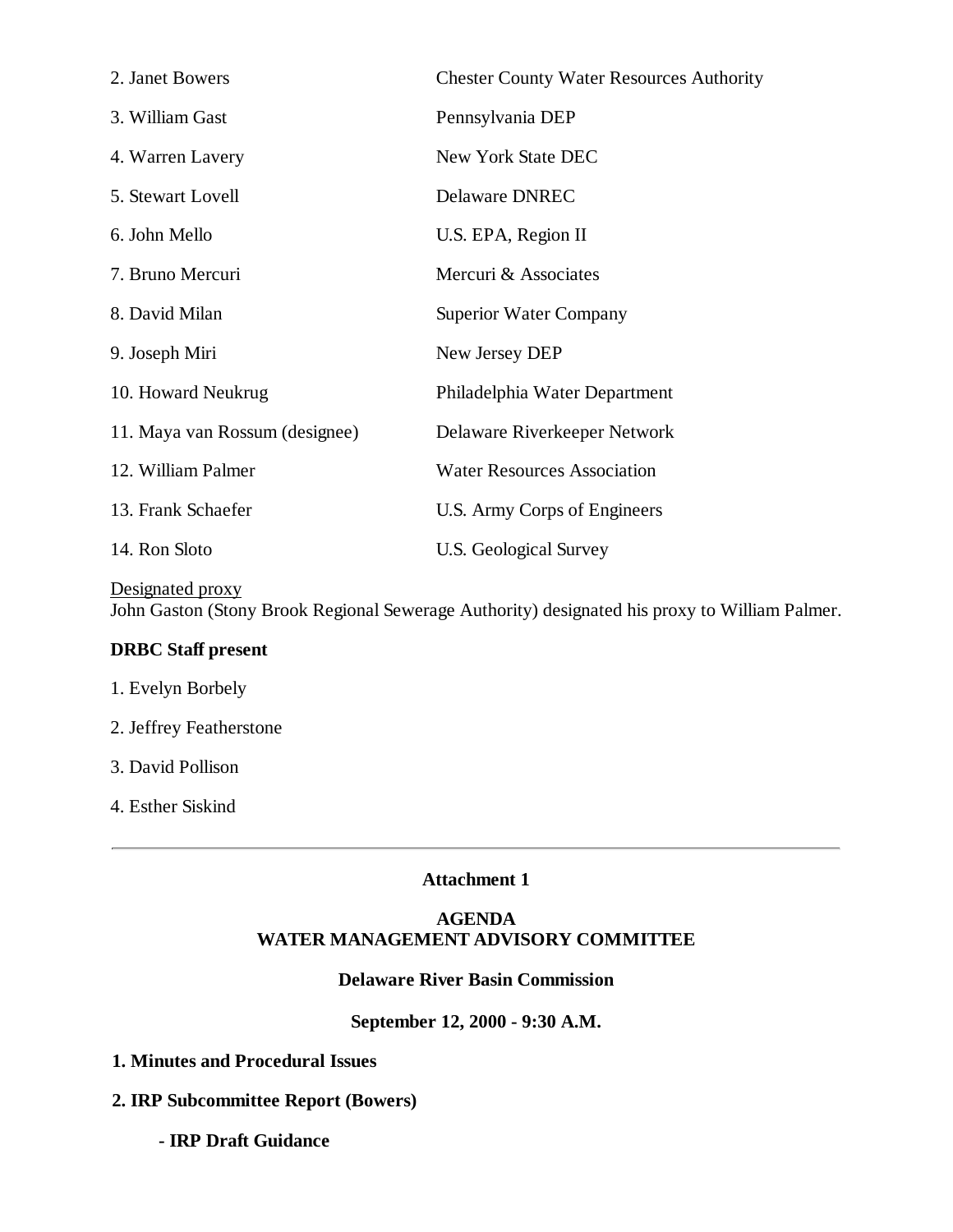| 2. Janet Bowers                | <b>Chester County Water Resources Authority</b> |
|--------------------------------|-------------------------------------------------|
| 3. William Gast                | Pennsylvania DEP                                |
| 4. Warren Lavery               | New York State DEC                              |
| 5. Stewart Lovell              | <b>Delaware DNREC</b>                           |
| 6. John Mello                  | U.S. EPA, Region II                             |
| 7. Bruno Mercuri               | Mercuri & Associates                            |
| 8. David Milan                 | <b>Superior Water Company</b>                   |
| 9. Joseph Miri                 | New Jersey DEP                                  |
| 10. Howard Neukrug             | Philadelphia Water Department                   |
| 11. Maya van Rossum (designee) | Delaware Riverkeeper Network                    |
| 12. William Palmer             | <b>Water Resources Association</b>              |
| 13. Frank Schaefer             | U.S. Army Corps of Engineers                    |
| 14. Ron Sloto                  | U.S. Geological Survey                          |

Designated proxy John Gaston (Stony Brook Regional Sewerage Authority) designated his proxy to William Palmer.

#### **DRBC Staff present**

- 1. Evelyn Borbely
- 2. Jeffrey Featherstone
- 3. David Pollison
- 4. Esther Siskind

#### **Attachment 1**

#### **AGENDA WATER MANAGEMENT ADVISORY COMMITTEE**

#### **Delaware River Basin Commission**

#### **September 12, 2000 - 9:30 A.M.**

- **1. Minutes and Procedural Issues**
- **2. IRP Subcommittee Report (Bowers)**
	- **IRP Draft Guidance**